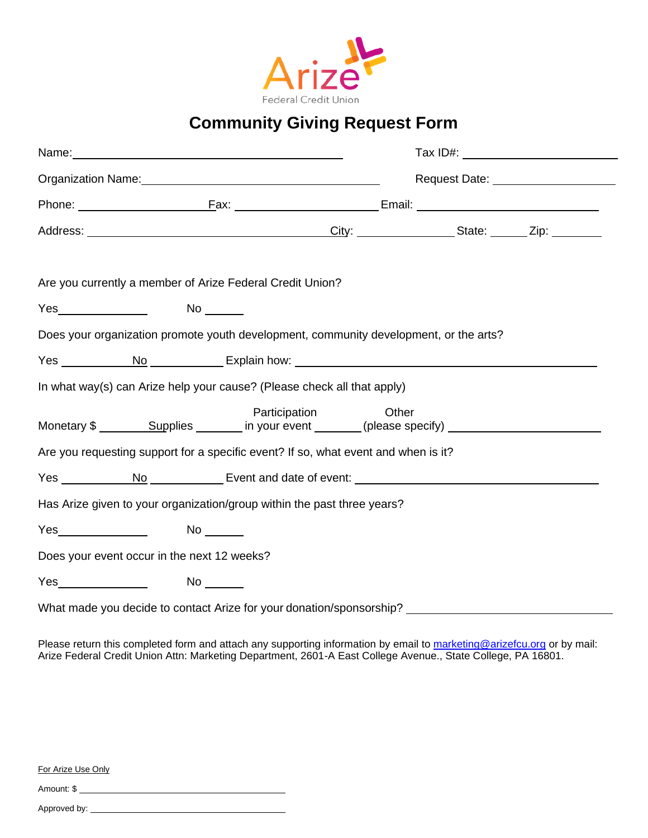

## **Community Giving Request Form**

|  |                      |                                                                         |               | Request Date: National Property of Property and Property and Property and Property and Property and Property and Property and Property and Property and Property and Property and Property and Property and Property and Prope |  |  |  |
|--|----------------------|-------------------------------------------------------------------------|---------------|--------------------------------------------------------------------------------------------------------------------------------------------------------------------------------------------------------------------------------|--|--|--|
|  |                      |                                                                         |               |                                                                                                                                                                                                                                |  |  |  |
|  |                      |                                                                         |               |                                                                                                                                                                                                                                |  |  |  |
|  |                      | Are you currently a member of Arize Federal Credit Union?               |               |                                                                                                                                                                                                                                |  |  |  |
|  | Yes_________________ | $No \underline{\hspace{1cm}}$                                           |               |                                                                                                                                                                                                                                |  |  |  |
|  |                      |                                                                         |               | Does your organization promote youth development, community development, or the arts?                                                                                                                                          |  |  |  |
|  |                      |                                                                         |               |                                                                                                                                                                                                                                |  |  |  |
|  |                      | In what way(s) can Arize help your cause? (Please check all that apply) |               |                                                                                                                                                                                                                                |  |  |  |
|  |                      |                                                                         | Participation | Other                                                                                                                                                                                                                          |  |  |  |
|  |                      |                                                                         |               | Are you requesting support for a specific event? If so, what event and when is it?                                                                                                                                             |  |  |  |
|  |                      |                                                                         |               |                                                                                                                                                                                                                                |  |  |  |
|  |                      | Has Arize given to your organization/group within the past three years? |               |                                                                                                                                                                                                                                |  |  |  |
|  |                      |                                                                         |               |                                                                                                                                                                                                                                |  |  |  |
|  |                      | Does your event occur in the next 12 weeks?                             |               |                                                                                                                                                                                                                                |  |  |  |
|  |                      |                                                                         |               |                                                                                                                                                                                                                                |  |  |  |
|  |                      |                                                                         |               |                                                                                                                                                                                                                                |  |  |  |

Please return this completed form and attach any supporting information by email to [marketing@arizefcu.org](mailto:marketing@arizefcu.org) or by mail: Arize Federal Credit Union Attn: Marketing Department, 2601-A East College Avenue., State College, PA 16801.

For Arize Use Only

Amount: \$

Approved by: